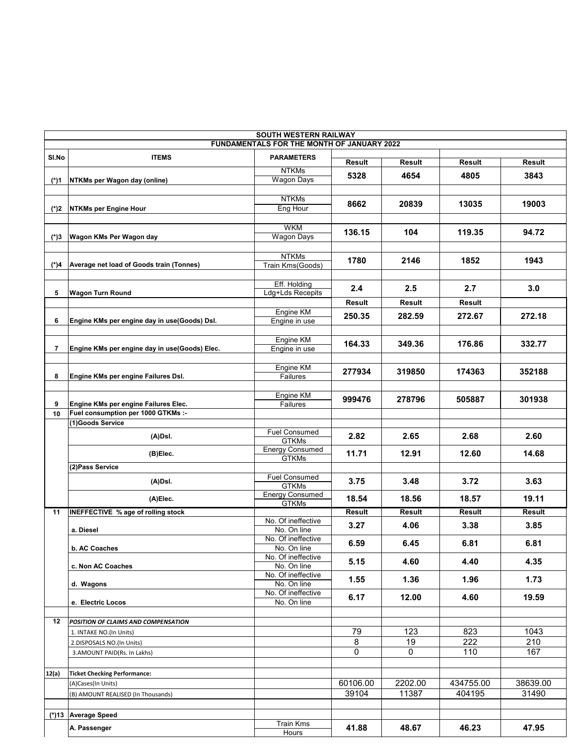| <b>SOUTH WESTERN RAILWAY</b><br>FUNDAMENTALS FOR THE MONTH OF JANUARY 2022 |                                               |                                        |          |               |               |          |  |  |  |  |
|----------------------------------------------------------------------------|-----------------------------------------------|----------------------------------------|----------|---------------|---------------|----------|--|--|--|--|
| SI.No                                                                      | <b>ITEMS</b>                                  | <b>PARAMETERS</b>                      |          |               |               |          |  |  |  |  |
|                                                                            |                                               | <b>NTKMs</b>                           | Result   | <b>Result</b> | Result        | Result   |  |  |  |  |
| (*)1                                                                       | NTKMs per Wagon day (online)                  | <b>Wagon Days</b>                      | 5328     | 4654          | 4805          | 3843     |  |  |  |  |
|                                                                            |                                               |                                        |          |               |               |          |  |  |  |  |
|                                                                            |                                               | <b>NTKMs</b>                           | 8662     | 20839         | 13035         | 19003    |  |  |  |  |
| $(*)2$                                                                     | <b>NTKMs per Engine Hour</b>                  | Eng Hour                               |          |               |               |          |  |  |  |  |
|                                                                            |                                               | <b>WKM</b>                             | 136.15   | 104           | 119.35        | 94.72    |  |  |  |  |
| (*)3                                                                       | Wagon KMs Per Wagon day                       | <b>Wagon Days</b>                      |          |               |               |          |  |  |  |  |
|                                                                            |                                               | <b>NTKMs</b>                           |          |               |               |          |  |  |  |  |
| (*)4                                                                       | Average net load of Goods train (Tonnes)      | Train Kms(Goods)                       | 1780     | 2146          | 1852          | 1943     |  |  |  |  |
|                                                                            |                                               |                                        |          |               |               |          |  |  |  |  |
| 5                                                                          | <b>Wagon Turn Round</b>                       | Eff. Holding<br>Ldg+Lds Recepits       | 2.4      | 2.5           | 2.7           | 3.0      |  |  |  |  |
|                                                                            |                                               |                                        | Result   | Result        | Result        |          |  |  |  |  |
|                                                                            |                                               | Engine KM                              | 250.35   | 282.59        | 272.67        | 272.18   |  |  |  |  |
| 6                                                                          | Engine KMs per engine day in use(Goods) Dsl.  | Engine in use                          |          |               |               |          |  |  |  |  |
|                                                                            |                                               | Engine KM                              | 164.33   | 349.36        | 176.86        | 332.77   |  |  |  |  |
| 7                                                                          | Engine KMs per engine day in use(Goods) Elec. | Engine in use                          |          |               |               |          |  |  |  |  |
|                                                                            |                                               | Engine KM                              |          |               |               |          |  |  |  |  |
| 8                                                                          | Engine KMs per engine Failures Dsl.           | Failures                               | 277934   | 319850        | 174363        | 352188   |  |  |  |  |
|                                                                            |                                               |                                        |          |               |               |          |  |  |  |  |
| 9                                                                          | Engine KMs per engine Failures Elec.          | Engine KM<br>Failures                  | 999476   | 278796        | 505887        | 301938   |  |  |  |  |
| 10                                                                         | Fuel consumption per 1000 GTKMs :-            |                                        |          |               |               |          |  |  |  |  |
|                                                                            | (1)Goods Service                              |                                        |          |               |               |          |  |  |  |  |
|                                                                            | $(A)$ Dsl.                                    | <b>Fuel Consumed</b><br><b>GTKMs</b>   | 2.82     | 2.65          | 2.68          | 2.60     |  |  |  |  |
|                                                                            | (B)Elec.                                      | <b>Energy Consumed</b>                 | 11.71    | 12.91         | 12.60         | 14.68    |  |  |  |  |
|                                                                            | (2) Pass Service                              | <b>GTKMs</b>                           |          |               |               |          |  |  |  |  |
|                                                                            |                                               | <b>Fuel Consumed</b>                   |          |               |               |          |  |  |  |  |
|                                                                            | $(A)$ Dsl.                                    | <b>GTKMs</b>                           | 3.75     | 3.48          | 3.72          | 3.63     |  |  |  |  |
|                                                                            | (A)Elec.                                      | <b>Energy Consumed</b><br><b>GTKMs</b> | 18.54    | 18.56         | 18.57         | 19.11    |  |  |  |  |
| 11                                                                         | <b>INEFFECTIVE % age of rolling stock</b>     |                                        | Result   | <b>Result</b> | <b>Result</b> | Result   |  |  |  |  |
|                                                                            |                                               | No. Of ineffective                     | 3.27     | 4.06          | 3.38          | 3.85     |  |  |  |  |
|                                                                            | a. Diesel                                     | No. On line<br>No. Of ineffective      |          |               |               |          |  |  |  |  |
|                                                                            | b. AC Coaches                                 | No. On line                            | 6.59     | 6.45          | 6.81          | 6.81     |  |  |  |  |
|                                                                            |                                               | No. Of ineffective                     | 5.15     | 4.60          | 4.40          | 4.35     |  |  |  |  |
|                                                                            | c. Non AC Coaches                             | No. On line<br>No. Of ineffective      |          |               |               |          |  |  |  |  |
|                                                                            | d. Wagons                                     | No. On line                            | 1.55     | 1.36          | 1.96          | 1.73     |  |  |  |  |
|                                                                            | e. Electric Locos                             | No. Of ineffective                     | 6.17     | 12.00         | 4.60          | 19.59    |  |  |  |  |
|                                                                            |                                               | No. On line                            |          |               |               |          |  |  |  |  |
| 12                                                                         | POSITION OF CLAIMS AND COMPENSATION           |                                        |          |               |               |          |  |  |  |  |
|                                                                            | 1. INTAKE NO.(In Units)                       |                                        | 79       | 123           | 823           | 1043     |  |  |  |  |
|                                                                            | 2.DISPOSALS NO.(In Units)                     |                                        | 8        | 19            | 222           | 210      |  |  |  |  |
|                                                                            | 3.AMOUNT PAID(Rs. In Lakhs)                   |                                        | 0        | 0             | 110           | 167      |  |  |  |  |
| 12(a)                                                                      | <b>Ticket Checking Performance:</b>           |                                        |          |               |               |          |  |  |  |  |
|                                                                            | (A)Cases(In Units)                            |                                        | 60106.00 | 2202.00       | 434755.00     | 38639.00 |  |  |  |  |
|                                                                            | (B) AMOUNT REALISED (In Thousands)            |                                        | 39104    | 11387         | 404195        | 31490    |  |  |  |  |
|                                                                            |                                               |                                        |          |               |               |          |  |  |  |  |
|                                                                            | (*)13 Average Speed                           | Train Kms                              |          |               |               |          |  |  |  |  |
|                                                                            | A. Passenger                                  | Hours                                  | 41.88    | 48.67         | 46.23         | 47.95    |  |  |  |  |